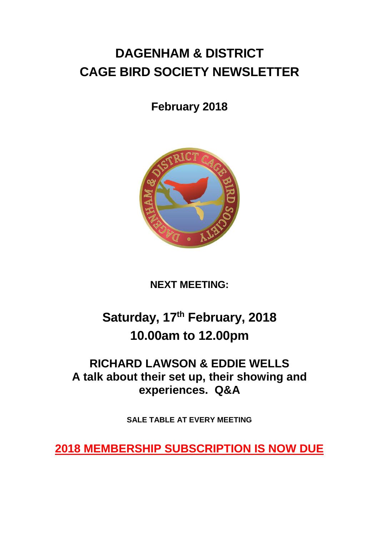# **DAGENHAM & DISTRICT CAGE BIRD SOCIETY NEWSLETTER**

# **February 2018**



# **NEXT MEETING:**

# **Saturday, 17th February, 2018 10.00am to 12.00pm**

# **RICHARD LAWSON & EDDIE WELLS A talk about their set up, their showing and experiences. Q&A**

**SALE TABLE AT EVERY MEETING**

**2018 MEMBERSHIP SUBSCRIPTION IS NOW DUE**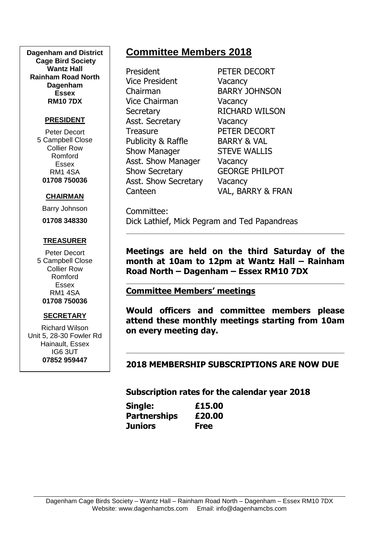**Dagenham and District Cage Bird Society Wantz Hall Rainham Road North Dagenham Essex RM10 7DX**

#### **PRESIDENT**

Peter Decort 5 Campbell Close Collier Row Romford Essex RM1 4SA **01708 750036**

#### **CHAIRMAN**

Barry Johnson

**01708 348330**

#### **TREASURER**

Peter Decort 5 Campbell Close Collier Row Romford Essex RM1 4SA **01708 750036**

#### **SECRETARY**

Richard Wilson Unit 5, 28-30 Fowler Rd Hainault, Essex IG6 3UT **07852 959447**

## **Committee Members 2018**

President PETER DECORT Vice President Vacancy Chairman BARRY JOHNSON Vice Chairman Vacancy Secretary RICHARD WILSON Asst. Secretary **Vacancy** Treasure **PETER DECORT** Publicity & Raffle BARRY & VAL Show Manager STEVE WALLIS Asst. Show Manager Vacancy Show Secretary **GEORGE PHILPOT** Asst. Show Secretary Vacancy

Canteen VAL, BARRY & FRAN

Committee: Dick Lathief, Mick Pegram and Ted Papandreas

**Meetings are held on the third Saturday of the month at 10am to 12pm at Wantz Hall – Rainham Road North – Dagenham – Essex RM10 7DX**

#### **Committee Members' meetings**

**Would officers and committee members please attend these monthly meetings starting from 10am on every meeting day.**

**2018 MEMBERSHIP SUBSCRIPTIONS ARE NOW DUE**

**Subscription rates for the calendar year 2018**

| Single:             | £15.00      |
|---------------------|-------------|
| <b>Partnerships</b> | £20.00      |
| <b>Juniors</b>      | <b>Free</b> |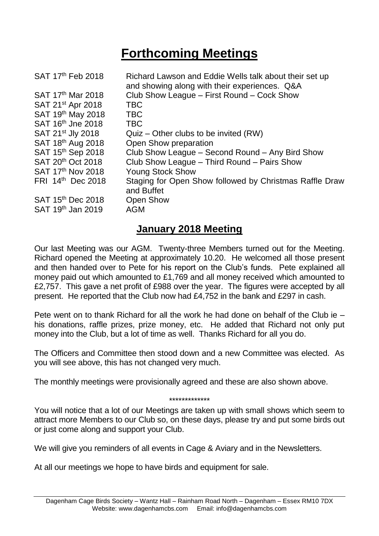# **Forthcoming Meetings**

| SAT 17th Feb 2018             | Richard Lawson and Eddie Wells talk about their set up<br>and showing along with their experiences. Q&A |
|-------------------------------|---------------------------------------------------------------------------------------------------------|
| SAT 17 <sup>th</sup> Mar 2018 | Club Show League - First Round - Cock Show                                                              |
| SAT 21 <sup>st</sup> Apr 2018 | <b>TBC</b>                                                                                              |
| SAT 19th May 2018             | <b>TBC</b>                                                                                              |
| SAT 16th Jne 2018             | <b>TBC</b>                                                                                              |
| SAT 21 <sup>st</sup> Jly 2018 | $Quiz - Other clubs to be invited (RW)$                                                                 |
| SAT 18 <sup>th</sup> Aug 2018 | Open Show preparation                                                                                   |
| SAT 15th Sep 2018             | Club Show League – Second Round – Any Bird Show                                                         |
| SAT 20 <sup>th</sup> Oct 2018 | Club Show League - Third Round - Pairs Show                                                             |
| SAT 17th Nov 2018             | <b>Young Stock Show</b>                                                                                 |
| FRI 14th Dec 2018             | Staging for Open Show followed by Christmas Raffle Draw<br>and Buffet                                   |
| SAT 15 <sup>th</sup> Dec 2018 | <b>Open Show</b>                                                                                        |
| SAT 19 <sup>th</sup> Jan 2019 | <b>AGM</b>                                                                                              |
|                               |                                                                                                         |

## **January 2018 Meeting**

Our last Meeting was our AGM. Twenty-three Members turned out for the Meeting. Richard opened the Meeting at approximately 10.20. He welcomed all those present and then handed over to Pete for his report on the Club's funds. Pete explained all money paid out which amounted to £1,769 and all money received which amounted to £2,757. This gave a net profit of £988 over the year. The figures were accepted by all present. He reported that the Club now had £4,752 in the bank and £297 in cash.

Pete went on to thank Richard for all the work he had done on behalf of the Club ie – his donations, raffle prizes, prize money, etc. He added that Richard not only put money into the Club, but a lot of time as well. Thanks Richard for all you do.

The Officers and Committee then stood down and a new Committee was elected. As you will see above, this has not changed very much.

The monthly meetings were provisionally agreed and these are also shown above.

\*\*\*\*\*\*\*\*\*\*\*\*\*

You will notice that a lot of our Meetings are taken up with small shows which seem to attract more Members to our Club so, on these days, please try and put some birds out or just come along and support your Club.

We will give you reminders of all events in Cage & Aviary and in the Newsletters.

At all our meetings we hope to have birds and equipment for sale.